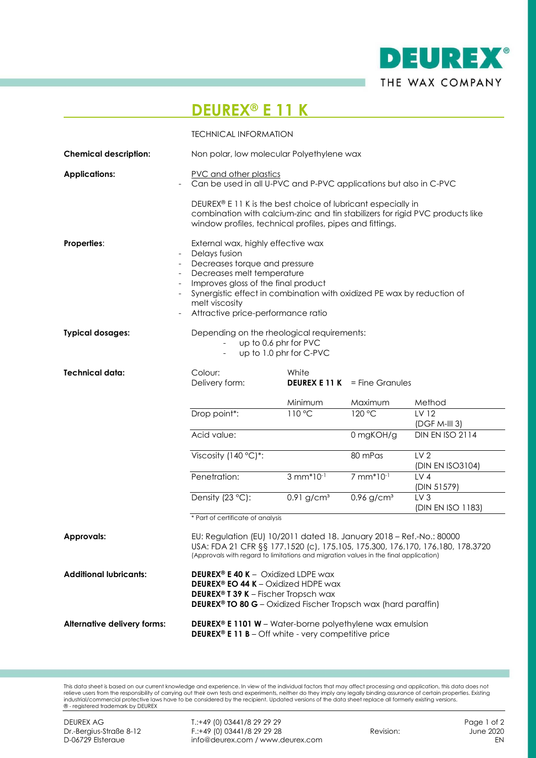

## **DEUREX® E 11 K**

|                               | <b>TECHNICAL INFORMATION</b>                                                                                                                                                                                                                                                                             |                          |                                      |                                      |  |
|-------------------------------|----------------------------------------------------------------------------------------------------------------------------------------------------------------------------------------------------------------------------------------------------------------------------------------------------------|--------------------------|--------------------------------------|--------------------------------------|--|
| <b>Chemical description:</b>  | Non polar, low molecular Polyethylene wax                                                                                                                                                                                                                                                                |                          |                                      |                                      |  |
| <b>Applications:</b>          | PVC and other plastics<br>Can be used in all U-PVC and P-PVC applications but also in C-PVC<br>DEUREX® E 11 K is the best choice of lubricant especially in<br>combination with calcium-zinc and tin stabilizers for rigid PVC products like<br>window profiles, technical profiles, pipes and fittings. |                          |                                      |                                      |  |
|                               |                                                                                                                                                                                                                                                                                                          |                          |                                      |                                      |  |
| <b>Properties:</b>            | External wax, highly effective wax<br>Delays fusion<br>Decreases torque and pressure<br>Decreases melt temperature<br>Improves gloss of the final product<br>Synergistic effect in combination with oxidized PE wax by reduction of<br>melt viscosity<br>Attractive price-performance ratio              |                          |                                      |                                      |  |
| <b>Typical dosages:</b>       | Depending on the rheological requirements:<br>up to 0.6 phr for PVC<br>up to 1.0 phr for C-PVC                                                                                                                                                                                                           |                          |                                      |                                      |  |
| <b>Technical data:</b>        | Colour:<br>Delivery form:                                                                                                                                                                                                                                                                                | White                    | <b>DEUREX E 11 K</b> = Fine Granules |                                      |  |
|                               |                                                                                                                                                                                                                                                                                                          | Minimum                  | Maximum                              | Method                               |  |
|                               | Drop point*:                                                                                                                                                                                                                                                                                             | 110 °C                   | 120 °C                               | LV 12<br>$(DGF M-III 3)$             |  |
|                               | Acid value:                                                                                                                                                                                                                                                                                              |                          | 0 mgKOH/g                            | <b>DIN EN ISO 2114</b>               |  |
|                               | Viscosity (140 °C)*:                                                                                                                                                                                                                                                                                     |                          | 80 mPas                              | LV <sub>2</sub><br>(DIN EN ISO3104)  |  |
|                               | Penetration:                                                                                                                                                                                                                                                                                             | $3 mm*10-1$              | 7 mm*10-1                            | LV4<br>(DIN 51579)                   |  |
|                               | Density (23 °C):                                                                                                                                                                                                                                                                                         | $0.91$ g/cm <sup>3</sup> | $0.96$ g/cm <sup>3</sup>             | LV <sub>3</sub><br>(DIN EN ISO 1183) |  |
|                               | * Part of certificate of analysis                                                                                                                                                                                                                                                                        |                          |                                      |                                      |  |
| <b>Approvals:</b>             | EU: Regulation (EU) 10/2011 dated 18. January 2018 - Ref.-No.: 80000<br>USA: FDA 21 CFR §§ 177.1520 (c), 175.105, 175.300, 176.170, 176.180, 178.3720<br>(Approvals with regard to limitations and migration values in the final application)                                                            |                          |                                      |                                      |  |
| <b>Additional lubricants:</b> | <b>DEUREX® E 40 K - Oxidized LDPE wax</b><br><b>DEUREX<sup>®</sup> EO 44 K</b> – Oxidized HDPE wax<br><b>DEUREX<sup>®</sup> T 39 K</b> – Fischer Tropsch wax<br><b>DEUREX<sup>®</sup> TO 80 G</b> - Oxidized Fischer Tropsch wax (hard paraffin)                                                         |                          |                                      |                                      |  |
| Alternative delivery forms:   | <b>DEUREX<sup>®</sup> E 1101 W</b> – Water-borne polyethylene wax emulsion<br><b>DEUREX<sup>®</sup> E 11 B</b> – Off white - very competitive price                                                                                                                                                      |                          |                                      |                                      |  |

This data sheet is based on our current knowledge and experience. In view of the individual factors that may affect processing and application, this data does not<br>inclustrial commercial protective laws have to be considere